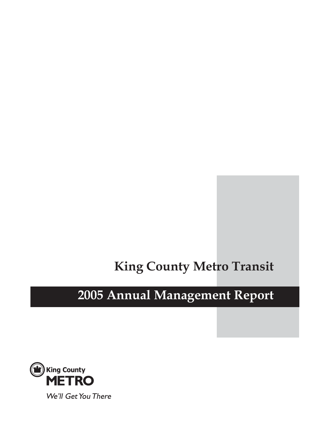# **King County Metro Transit**

# **2005 Annual Management Report**

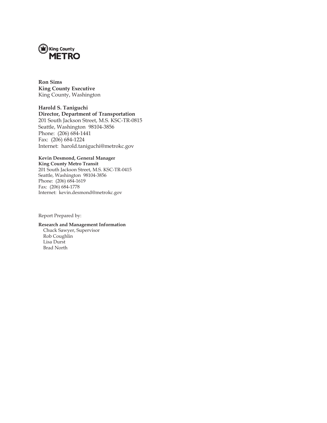

**Ron Sims King County Executive** King County, Washington

**Harold S. Taniguchi Director, Department of Transportation** 201 South Jackson Street, M.S. KSC-TR-0815 Seattle, Washington 98104-3856 Phone: (206) 684-1441 Fax: (206) 684-1224 Internet: harold.taniguchi@metrokc.gov

#### **Kevin Desmond, General Manager King County Metro Transit**

201 South Jackson Street, M.S. KSC-TR-0415 Seattle, Washington 98104-3856 Phone: (206) 684-1619 Fax: (206) 684-1778 Internet: kevin.desmond@metrokc.gov

Report Prepared by:

#### **Research and Management Information** Chuck Sawyer, Supervisor

Rob Coughlin Lisa Durst Brad North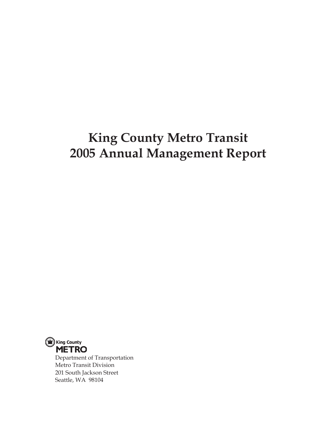# **King County Metro Transit 2005 Annual Management Report**



Department of Transportation Metro Transit Division 201 South Jackson Street Seattle, WA 98104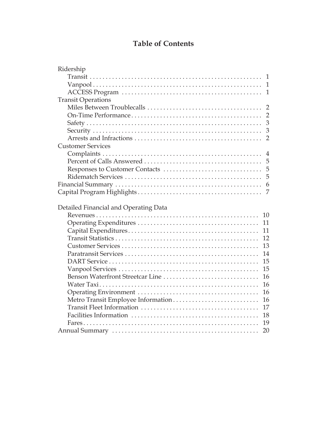# **Table of Contents**

| $\mathbf{1}$                             |
|------------------------------------------|
| $\mathbf{1}$                             |
| $\mathbf{1}$                             |
| <b>Transit Operations</b>                |
| $\overline{2}$                           |
| $\overline{2}$                           |
| 3                                        |
| 3                                        |
| $\overline{2}$                           |
| <b>Customer Services</b>                 |
| 4                                        |
| 5                                        |
| 5                                        |
| 5                                        |
| 6                                        |
| 7                                        |
|                                          |
| Detailed Financial and Operating Data    |
| 10                                       |
| 11                                       |
| 11                                       |
| 12                                       |
| 13                                       |
|                                          |
| 14                                       |
| 15                                       |
| 15                                       |
| Benson Waterfront Streetcar Line<br>16   |
| 16                                       |
| 16                                       |
| 16                                       |
| Metro Transit Employee Information<br>17 |
| 18                                       |
| 19                                       |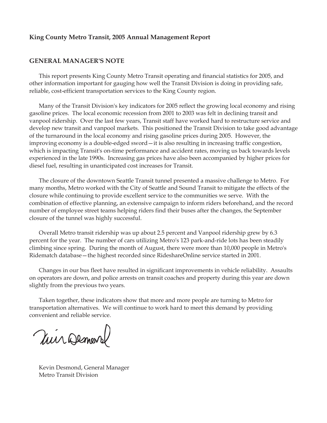#### **King County Metro Transit, 2005 Annual Management Report**

#### **GENERAL MANAGER'S NOTE**

This report presents King County Metro Transit operating and financial statistics for 2005, and other information important for gauging how well the Transit Division is doing in providing safe, reliable, cost-efficient transportation services to the King County region.

Many of the Transit Division's key indicators for 2005 reflect the growing local economy and rising gasoline prices. The local economic recession from 2001 to 2003 was felt in declining transit and vanpool ridership. Over the last few years, Transit staff have worked hard to restructure service and develop new transit and vanpool markets. This positioned the Transit Division to take good advantage of the turnaround in the local economy and rising gasoline prices during 2005. However, the improving economy is a double-edged sword—it is also resulting in increasing traffic congestion, which is impacting Transit's on-time performance and accident rates, moving us back towards levels experienced in the late 1990s. Increasing gas prices have also been accompanied by higher prices for diesel fuel, resulting in unanticipated cost increases for Transit.

The closure of the downtown Seattle Transit tunnel presented a massive challenge to Metro. For many months, Metro worked with the City of Seattle and Sound Transit to mitigate the effects of the closure while continuing to provide excellent service to the communities we serve. With the combination of effective planning, an extensive campaign to inform riders beforehand, and the record number of employee street teams helping riders find their buses after the changes, the September closure of the tunnel was highly successful.

Overall Metro transit ridership was up about 2.5 percent and Vanpool ridership grew by 6.3 percent for the year. The number of cars utilizing Metro's 123 park-and-ride lots has been steadily climbing since spring. During the month of August, there were more than 10,000 people in Metro's Ridematch database—the highest recorded since RideshareOnline service started in 2001.

Changes in our bus fleet have resulted in significant improvements in vehicle reliability. Assaults on operators are down, and police arrests on transit coaches and property during this year are down slightly from the previous two years.

Taken together, these indicators show that more and more people are turning to Metro for transportation alternatives. We will continue to work hard to meet this demand by providing convenient and reliable service.

Viir Demars

Kevin Desmond, General Manager Metro Transit Division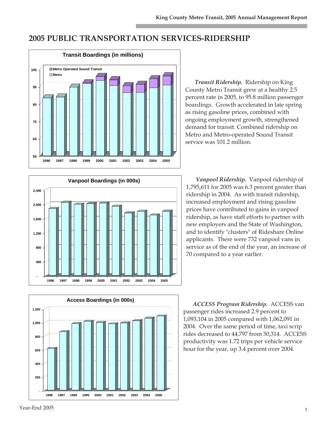# **2005 PUBLIC TRANSPORTATION SERVICES-RIDERSHIP**



*Transit Ridership.* Ridership on King County Metro Transit grew at a healthy 2.5 percent rate in 2005, to 95.8 million passenger boardings. Growth accelerated in late spring as rising gasoline prices, combined with ongoing employment growth, strengthened demand for transit. Combined ridership on Metro and Metro-operated Sound Transit service was 101.2 million.



*Vanpool Ridership.*Vanpool ridership of 1,795,611 for 2005 was 6.3 percent greater than ridership in 2004. As with transit ridership, increased employment and rising gasoline prices have contributed to gains in vanpool ridership, as have staff efforts to partner with new employers and the State of Washington, and to identify "clusters" of Rideshare Online applicants. There were 732 vanpool vans in service as of the end of the year, an increase of 70 compared to a year earlier.

*ACCESS Program Ridership.* ACCESS van passenger rides increased 2.9 percent to 1,093,104 in 2005 compared with 1,062,091 in 2004. Over the same period of time, taxi scrip rides decreased to 44,797 from 50,314. ACCESS productivity was 1.72 trips per vehicle service hour for the year, up 3.4 percent over 2004.

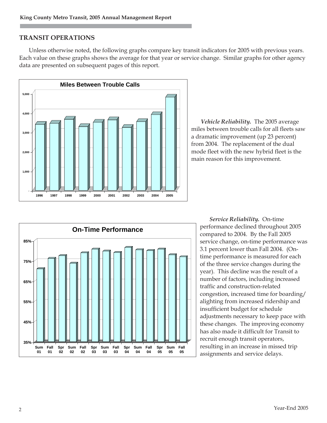# **TRANSIT OPERATIONS**

Unless otherwise noted, the following graphs compare key transit indicators for 2005 with previous years. Each value on these graphs shows the average for that year or service change. Similar graphs for other agency data are presented on subsequent pages of this report.



*Vehicle Reliability.* The 2005 average miles between trouble calls for all fleets saw a dramatic improvement (up 23 percent) from 2004. The replacement of the dual mode fleet with the new hybrid fleet is the main reason for this improvement.



*Service Reliability.* On-time performance declined throughout 2005 compared to 2004. By the Fall 2005 service change, on-time performance was 3.1 percent lower than Fall 2004. (Ontime performance is measured for each of the three service changes during the year). This decline was the result of a number of factors, including increased traffic and construction-related congestion, increased time for boarding/ alighting from increased ridership and insufficient budget for schedule adjustments necessary to keep pace with these changes. The improving economy has also made it difficult for Transit to recruit enough transit operators, resulting in an increase in missed trip assignments and service delays.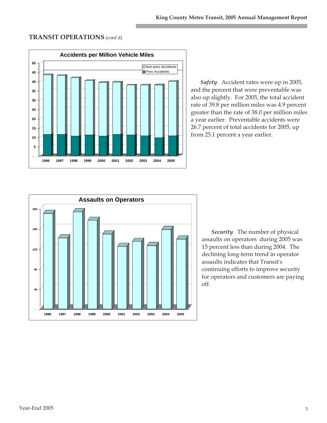## **TRANSIT OPERATIONS** (cont'd)



*Safety.* Accident rates were up in 2005, and the percent that were preventable was also up slightly. For 2005, the total accident rate of 39.8 per million miles was 4.9 percent greater than the rate of 38.0 per million miles a year earlier. Preventable accidents were 26.7 percent of total accidents for 2005, up from 25.1 percent a year earlier.



*Security.* The number of physical assaults on operators during 2005 was 15 percent less than during 2004. The declining long-term trend in operator assaults indicates that Transit's continuing efforts to improve security for operators and customers are paying off.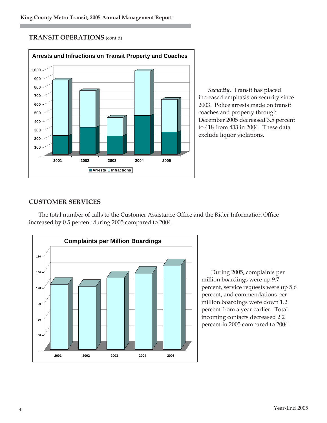**TRANSIT OPERATIONS** (cont'd)



*Security*. Transit has placed increased emphasis on security since 2003. Police arrests made on transit coaches and property through December 2005 decreased 3.5 percent to 418 from 433 in 2004. These data exclude liquor violations.

# **CUSTOMER SERVICES**

The total number of calls to the Customer Assistance Office and the Rider Information Office increased by 0.5 percent during 2005 compared to 2004.



During 2005, complaints per million boardings were up 9.7 percent, service requests were up 5.6 percent, and commendations per million boardings were down 1.2 percent from a year earlier. Total incoming contacts decreased 2.2 percent in 2005 compared to 2004.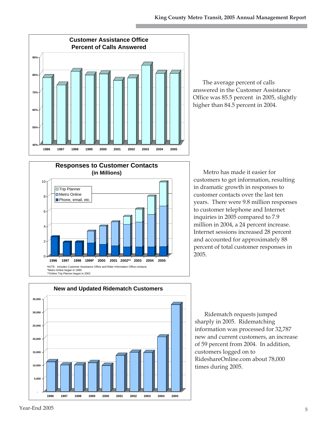

The average percent of calls answered in the Customer Assistance Office was 85.5 percent in 2005, slightly higher than 84.5 percent in 2004.



Metro has made it easier for customers to get information, resulting in dramatic growth in responses to customer contacts over the last ten years. There were 9.8 million responses to customer telephone and Internet inquiries in 2005 compared to 7.9 million in 2004, a 24 percent increase. Internet sessions increased 28 percent and accounted for approximately 88 percent of total customer responses in 2005.



Ridematch requests jumped sharply in 2005. Ridematching information was processed for 32,787 new and current customers, an increase of 59 percent from 2004. In addition, customers logged on to RideshareOnline.com about 78,000 times during 2005.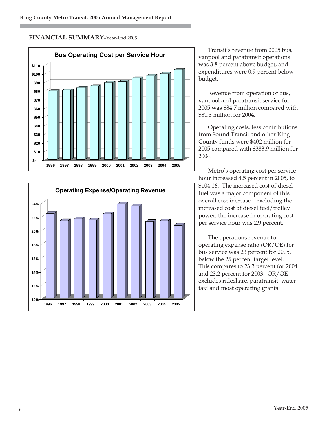# **FINANCIAL SUMMARY**–Year-End 2005





Transit's revenue from 2005 bus, vanpool and paratransit operations was 3.8 percent above budget, and expenditures were 0.9 percent below budget.

Revenue from operation of bus, vanpool and paratransit service for 2005 was \$84.7 million compared with \$81.3 million for 2004.

Operating costs, less contributions from Sound Transit and other King County funds were \$402 million for 2005 compared with \$383.9 million for 2004.

Metro's operating cost per service hour increased 4.5 percent in 2005, to \$104.16. The increased cost of diesel fuel was a major component of this overall cost increase—excluding the increased cost of diesel fuel/trolley power, the increase in operating cost per service hour was 2.9 percent.

The operations revenue to operating expense ratio (OR/OE) for bus service was 23 percent for 2005, below the 25 percent target level. This compares to 23.3 percent for 2004 and 23.2 percent for 2003. OR/OE excludes rideshare, paratransit, water taxi and most operating grants.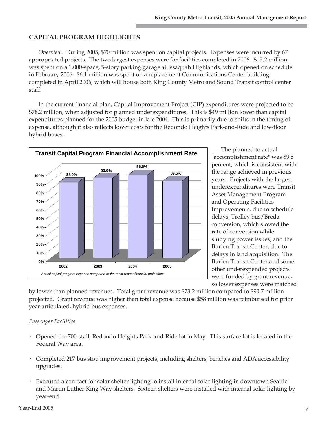# **CAPITAL PROGRAM HIGHLIGHTS**

*Overview.* During 2005, \$70 million was spent on capital projects. Expenses were incurred by 67 appropriated projects. The two largest expenses were for facilities completed in 2006. \$15.2 million was spent on a 1,000-space, 5-story parking garage at Issaquah Highlands, which opened on schedule in February 2006. \$6.1 million was spent on a replacement Communications Center building completed in April 2006, which will house both King County Metro and Sound Transit control center staff.

In the current financial plan, Capital Improvement Project (CIP) expenditures were projected to be \$78.2 million, when adjusted for planned underexpenditures. This is \$49 million lower than capital expenditures planned for the 2005 budget in late 2004. This is primarily due to shifts in the timing of expense, although it also reflects lower costs for the Redondo Heights Park-and-Ride and low-floor hybrid buses.



The planned to actual "accomplishment rate" was 89.5 percent, which is consistent with the range achieved in previous years. Projects with the largest underexpenditures were Transit Asset Management Program and Operating Facilities Improvements, due to schedule delays; Trolley bus/Breda conversion, which slowed the rate of conversion while studying power issues, and the Burien Transit Center, due to delays in land acquisition. The Burien Transit Center and some other underexpended projects were funded by grant revenue, so lower expenses were matched

by lower than planned revenues. Total grant revenue was \$73.2 million compared to \$90.7 million projected. Grant revenue was higher than total expense because \$58 million was reimbursed for prior year articulated, hybrid bus expenses.

#### *Passenger Facilities*

- · Opened the 700-stall, Redondo Heights Park-and-Ride lot in May. This surface lot is located in the Federal Way area.
- · Completed 217 bus stop improvement projects, including shelters, benches and ADA accessibility upgrades.
- · Executed a contract for solar shelter lighting to install internal solar lighting in downtown Seattle and Martin Luther King Way shelters. Sixteen shelters were installed with internal solar lighting by year-end.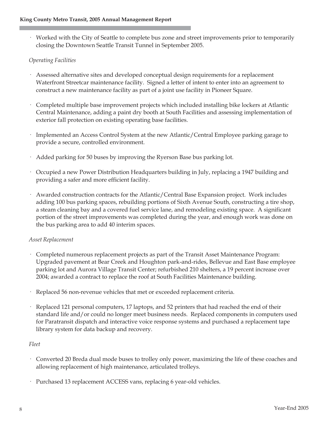· Worked with the City of Seattle to complete bus zone and street improvements prior to temporarily closing the Downtown Seattle Transit Tunnel in September 2005.

# *Operating Facilities*

- · Assessed alternative sites and developed conceptual design requirements for a replacement Waterfront Streetcar maintenance facility. Signed a letter of intent to enter into an agreement to construct a new maintenance facility as part of a joint use facility in Pioneer Square.
- · Completed multiple base improvement projects which included installing bike lockers at Atlantic Central Maintenance, adding a paint dry booth at South Facilities and assessing implementation of exterior fall protection on existing operating base facilities.
- · Implemented an Access Control System at the new Atlantic/Central Employee parking garage to provide a secure, controlled environment.
- · Added parking for 50 buses by improving the Ryerson Base bus parking lot.
- · Occupied a new Power Distribution Headquarters building in July, replacing a 1947 building and providing a safer and more efficient facility.
- · Awarded construction contracts for the Atlantic/Central Base Expansion project. Work includes adding 100 bus parking spaces, rebuilding portions of Sixth Avenue South, constructing a tire shop, a steam cleaning bay and a covered fuel service lane, and remodeling existing space. A significant portion of the street improvements was completed during the year, and enough work was done on the bus parking area to add 40 interim spaces.

#### *Asset Replacement*

- · Completed numerous replacement projects as part of the Transit Asset Maintenance Program: Upgraded pavement at Bear Creek and Houghton park-and-rides, Bellevue and East Base employee parking lot and Aurora Village Transit Center; refurbished 210 shelters, a 19 percent increase over 2004; awarded a contract to replace the roof at South Facilities Maintenance building.
- · Replaced 56 non-revenue vehicles that met or exceeded replacement criteria.
- · Replaced 121 personal computers, 17 laptops, and 52 printers that had reached the end of their standard life and/or could no longer meet business needs. Replaced components in computers used for Paratransit dispatch and interactive voice response systems and purchased a replacement tape library system for data backup and recovery.

#### *Fleet*

- · Converted 20 Breda dual mode buses to trolley only power, maximizing the life of these coaches and allowing replacement of high maintenance, articulated trolleys.
- · Purchased 13 replacement ACCESS vans, replacing 6 year-old vehicles.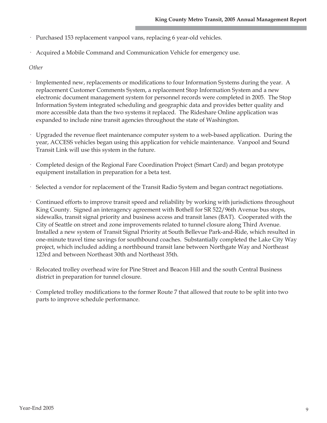- · Purchased 153 replacement vanpool vans, replacing 6 year-old vehicles.
- · Acquired a Mobile Command and Communication Vehicle for emergency use.

#### *Other*

- · Implemented new, replacements or modifications to four Information Systems during the year. A replacement Customer Comments System, a replacement Stop Information System and a new electronic document management system for personnel records were completed in 2005. The Stop Information System integrated scheduling and geographic data and provides better quality and more accessible data than the two systems it replaced. The Rideshare Online application was expanded to include nine transit agencies throughout the state of Washington.
- · Upgraded the revenue fleet maintenance computer system to a web-based application. During the year, ACCESS vehicles began using this application for vehicle maintenance. Vanpool and Sound Transit Link will use this system in the future.
- · Completed design of the Regional Fare Coordination Project (Smart Card) and began prototype equipment installation in preparation for a beta test.
- · Selected a vendor for replacement of the Transit Radio System and began contract negotiations.
- · Continued efforts to improve transit speed and reliability by working with jurisdictions throughout King County. Signed an interagency agreement with Bothell for SR 522/96th Avenue bus stops, sidewalks, transit signal priority and business access and transit lanes (BAT). Cooperated with the City of Seattle on street and zone improvements related to tunnel closure along Third Avenue. Installed a new system of Transit Signal Priority at South Bellevue Park-and-Ride, which resulted in one-minute travel time savings for southbound coaches. Substantially completed the Lake City Way project, which included adding a northbound transit lane between Northgate Way and Northeast 123rd and between Northeast 30th and Northeast 35th.
- Relocated trolley overhead wire for Pine Street and Beacon Hill and the south Central Business district in preparation for tunnel closure.
- · Completed trolley modifications to the former Route 7 that allowed that route to be split into two parts to improve schedule performance.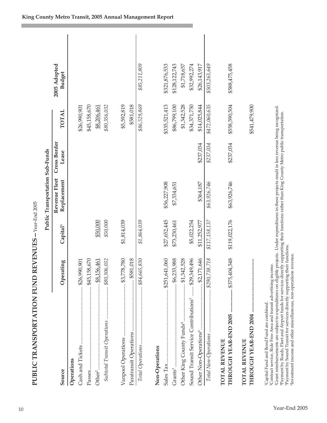| PUBLIC TRANSPORTATION FUND REVENUES - Year-End 2005                                                                                                                                                                                                                                                                                                                                                                                                                                                                                                                                                                             |                 |                      |                                 |                       |               |                               |  |
|---------------------------------------------------------------------------------------------------------------------------------------------------------------------------------------------------------------------------------------------------------------------------------------------------------------------------------------------------------------------------------------------------------------------------------------------------------------------------------------------------------------------------------------------------------------------------------------------------------------------------------|-----------------|----------------------|---------------------------------|-----------------------|---------------|-------------------------------|--|
|                                                                                                                                                                                                                                                                                                                                                                                                                                                                                                                                                                                                                                 |                 |                      | Public Transportation Sub-Funds |                       |               |                               |  |
| Source                                                                                                                                                                                                                                                                                                                                                                                                                                                                                                                                                                                                                          | Operating       | Capital <sup>1</sup> | Revenue Fleet<br>Replacement    | Cross Border<br>Lease | <b>TOTAL</b>  | 2005 Adopted<br><b>Budget</b> |  |
| Operations                                                                                                                                                                                                                                                                                                                                                                                                                                                                                                                                                                                                                      |                 |                      |                                 |                       |               |                               |  |
|                                                                                                                                                                                                                                                                                                                                                                                                                                                                                                                                                                                                                                 |                 |                      |                                 |                       | \$26,990,901  |                               |  |
| Passes                                                                                                                                                                                                                                                                                                                                                                                                                                                                                                                                                                                                                          |                 |                      |                                 |                       | \$45,158,670  |                               |  |
| Other <sup>2</sup> .                                                                                                                                                                                                                                                                                                                                                                                                                                                                                                                                                                                                            |                 | \$50,000             |                                 |                       | \$8,206,461   |                               |  |
| Subtotal Transit Operations  \$80,306,032                                                                                                                                                                                                                                                                                                                                                                                                                                                                                                                                                                                       |                 | \$50,000             |                                 |                       | \$80,356,032  |                               |  |
|                                                                                                                                                                                                                                                                                                                                                                                                                                                                                                                                                                                                                                 |                 | \$1,814,039          |                                 |                       | \$5,592,819   |                               |  |
|                                                                                                                                                                                                                                                                                                                                                                                                                                                                                                                                                                                                                                 |                 |                      |                                 |                       | \$581,018     |                               |  |
|                                                                                                                                                                                                                                                                                                                                                                                                                                                                                                                                                                                                                                 |                 | \$1,864,039          |                                 |                       | \$86,529,869  | \$85,211,809                  |  |
| Non-Operations                                                                                                                                                                                                                                                                                                                                                                                                                                                                                                                                                                                                                  |                 |                      |                                 |                       |               |                               |  |
|                                                                                                                                                                                                                                                                                                                                                                                                                                                                                                                                                                                                                                 |                 | \$27,652,445         | \$56,227,908                    |                       | \$335,521,413 | \$321,876,533                 |  |
| Grants <sup>3</sup> .                                                                                                                                                                                                                                                                                                                                                                                                                                                                                                                                                                                                           |                 | \$73,230,461         | \$7,334,651                     |                       | \$86,799,100  | \$128,122,743                 |  |
|                                                                                                                                                                                                                                                                                                                                                                                                                                                                                                                                                                                                                                 |                 |                      |                                 |                       | \$1,342,528   | \$1,718,657                   |  |
| Sound Transit Service Contributions <sup>5</sup> \$29,349,496                                                                                                                                                                                                                                                                                                                                                                                                                                                                                                                                                                   |                 | \$5,022,254          |                                 |                       | \$34,371,750  | \$32,992,274                  |  |
|                                                                                                                                                                                                                                                                                                                                                                                                                                                                                                                                                                                                                                 | $ $ \$2,171,646 | \$11,252,977         | \$364,187                       | \$237,034             | \$14,025,844  | \$26,143,917                  |  |
|                                                                                                                                                                                                                                                                                                                                                                                                                                                                                                                                                                                                                                 |                 | \$117,158,137        | \$63,926,746                    | \$237,034             | \$472,060,635 | \$503,263,649                 |  |
| THROUGH YEAR-END 2005  \$375,404,548<br>TOTAL REVENUE                                                                                                                                                                                                                                                                                                                                                                                                                                                                                                                                                                           |                 | \$119,022,176        | \$63,926,746                    | \$237,034             | \$558,590,504 | \$588,475,458                 |  |
| TOTAL REVENUE                                                                                                                                                                                                                                                                                                                                                                                                                                                                                                                                                                                                                   |                 |                      |                                 |                       | \$541,479,900 |                               |  |
| <sup>3</sup> Grant reimbursements are subject to expenditures on eligible projects. Under expenditures in these projects result in less revenue being recognized.<br>Payment by Roads, Fleet and Airport funds for services directly supporting their functions rather than King County Metro public transportation.<br><sup>5</sup> Payment by Sound Transit for services directly supporting their functions.<br>Investment income and other miscellaneous, non-operations revenue.<br><sup>2</sup> Contract service, Ride Free Area and transit advertising income.<br><sup>1</sup> Capital Fund and Bond Fund are combined. |                 |                      |                                 |                       |               |                               |  |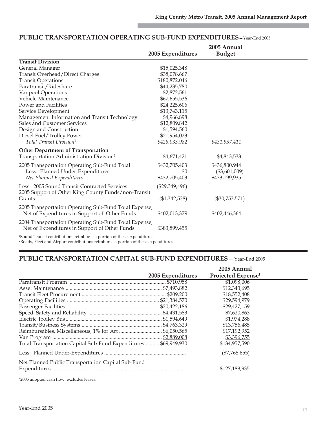|                                                                                                                                                                                                     |                   | 2005 Annual       |  |
|-----------------------------------------------------------------------------------------------------------------------------------------------------------------------------------------------------|-------------------|-------------------|--|
|                                                                                                                                                                                                     | 2005 Expenditures | <b>Budget</b>     |  |
| <b>Transit Division</b>                                                                                                                                                                             |                   |                   |  |
| General Manager                                                                                                                                                                                     | \$15,025,348      |                   |  |
| Transit Overhead/Direct Charges                                                                                                                                                                     | \$38,078,667      |                   |  |
| <b>Transit Operations</b>                                                                                                                                                                           | \$180,872,046     |                   |  |
| Paratransit/Rideshare                                                                                                                                                                               | \$44,235,780      |                   |  |
| Vanpool Operations                                                                                                                                                                                  | \$2,872,561       |                   |  |
| Vehicle Maintenance                                                                                                                                                                                 | \$67,655,536      |                   |  |
| Power and Facilities                                                                                                                                                                                | \$24,225,606      |                   |  |
| Service Development                                                                                                                                                                                 | \$13,743,115      |                   |  |
| Management Information and Transit Technology                                                                                                                                                       | \$4,966,898       |                   |  |
| Sales and Customer Services                                                                                                                                                                         | \$12,809,842      |                   |  |
| Design and Construction                                                                                                                                                                             | \$1,594,560       |                   |  |
| Diesel Fuel/Trolley Power                                                                                                                                                                           | \$21,954,023      |                   |  |
| Total Transit Division <sup>1</sup>                                                                                                                                                                 | \$428,033,982     | \$431,957,411     |  |
| <b>Other Department of Transportation</b>                                                                                                                                                           |                   |                   |  |
| Transportation Administration Division <sup>2</sup>                                                                                                                                                 | \$4,671,421       | \$4,843,533       |  |
| 2005 Transportation Operating Sub-Fund Total                                                                                                                                                        | \$432,705,403     | \$436,800,944     |  |
| Less: Planned Under-Expenditures                                                                                                                                                                    | \$0               | ( \$3,601,009)    |  |
| Net Planned Expenditures                                                                                                                                                                            | \$432,705,403     | \$433,199,935     |  |
| Less: 2005 Sound Transit Contracted Services                                                                                                                                                        | $(\$29,349,496)$  |                   |  |
| 2005 Support of Other King County Funds/non-Transit                                                                                                                                                 |                   |                   |  |
| Grants                                                                                                                                                                                              | (\$1,342,528)     | $($ \$30,753,571) |  |
| 2005 Transportation Operating Sub-Fund Total Expense,                                                                                                                                               |                   |                   |  |
| Net of Expenditures in Support of Other Funds                                                                                                                                                       | \$402,013,379     | \$402,446,364     |  |
|                                                                                                                                                                                                     |                   |                   |  |
| 2004 Transportation Operating Sub-Fund Total Expense,                                                                                                                                               |                   |                   |  |
| Net of Expenditures in Support of Other Funds                                                                                                                                                       | \$383,899,455     |                   |  |
| $\mathbf{10}$ $\mathbf{10}$ $\mathbf{10}$ $\mathbf{11}$ $\mathbf{11}$ $\mathbf{12}$ $\mathbf{13}$ $\mathbf{14}$ $\mathbf{15}$ $\mathbf{16}$ $\mathbf{17}$ $\mathbf{18}$ $\mathbf{19}$ $\mathbf{19}$ |                   |                   |  |

#### **PUBLIC TRANSPORTATION OPERATING SUB-FUND EXPENDITURES**—Year-End 2005

1 Sound Transit contributions reimburse a portion of these expenditures. 2 Roads, Fleet and Airport contributions reimburse a portion of these expenditures.

# **PUBLIC TRANSPORTATION CAPITAL SUB-FUND EXPENDITURES**—Year-End 2005

|                                                                  | 2005 Expenditures | 2005 Annual<br>Projected Expense <sup>1</sup> |  |
|------------------------------------------------------------------|-------------------|-----------------------------------------------|--|
|                                                                  |                   | \$1,098,006                                   |  |
|                                                                  |                   | \$12,343,695                                  |  |
|                                                                  |                   | \$18,552,408                                  |  |
|                                                                  |                   | \$29,594,979                                  |  |
|                                                                  |                   | \$29,427,159                                  |  |
|                                                                  |                   | \$7,620,863                                   |  |
|                                                                  |                   | \$1,974,288                                   |  |
|                                                                  |                   | \$13,756,485                                  |  |
|                                                                  |                   | \$17,192,952                                  |  |
|                                                                  |                   | \$3,396,755                                   |  |
| Total Transportation Capital Sub-Fund Expenditures  \$69,949,930 |                   | \$134,957,590                                 |  |
|                                                                  |                   | $(\$7,768,655)$                               |  |
| Net Planned Public Transportation Capital Sub-Fund               |                   |                                               |  |
|                                                                  |                   | \$127,188,935                                 |  |

1 2005 adopted cash flow; excludes leases.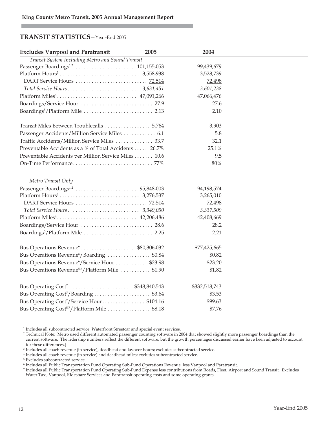#### **TRANSIT STATISTICS**—Year-End 2005

| <b>Excludes Vanpool and Paratransit</b>                             | 2005 | 2004          |  |
|---------------------------------------------------------------------|------|---------------|--|
| Transit System Including Metro and Sound Transit                    |      |               |  |
|                                                                     |      | 99,439,679    |  |
|                                                                     |      | 3,528,739     |  |
|                                                                     |      | 72,498        |  |
|                                                                     |      | 3,601,238     |  |
|                                                                     |      | 47,066,476    |  |
|                                                                     |      | 27.6          |  |
|                                                                     |      | 2.10          |  |
|                                                                     |      | 3,903         |  |
| Passenger Accidents/Million Service Miles  6.1                      |      | 5.8           |  |
| Traffic Accidents/Million Service Miles  33.7                       |      | 32.1          |  |
| Preventable Accidents as a % of Total Accidents  26.7%              |      | 25.1%         |  |
| Preventable Accidents per Million Service Miles 10.6                |      | 9.5           |  |
|                                                                     |      | 80%           |  |
| Metro Transit Only                                                  |      |               |  |
|                                                                     |      | 94,198,574    |  |
|                                                                     |      | 3,265,010     |  |
|                                                                     |      | 72,498        |  |
|                                                                     |      | 3,337,509     |  |
|                                                                     |      | 42,408,669    |  |
|                                                                     |      | 28.2          |  |
| Boardings <sup>5</sup> /Platform Mile  2.25                         |      | 2.21          |  |
| Bus Operations Revenue $\dots \dots \dots \dots \dots$ \$80,306,032 |      | \$77,425,665  |  |
| Bus Operations Revenue <sup>6</sup> /Boarding \$0.84                |      | \$0.82        |  |
| Bus Operations Revenue <sup>6</sup> /Service Hour  \$23.98          |      | \$23.20       |  |
| Bus Operations Revenue <sup>5,6</sup> /Platform Mile  \$1.90        |      | \$1.82        |  |
| Bus Operating Cost <sup>7</sup> \$348,840,543                       |      | \$332,518,743 |  |
| Bus Operating Cost <sup>7</sup> /Boarding  \$3.64                   |      | \$3.53        |  |
| Bus Operating Cost <sup>7</sup> /Service Hour\$104.16               |      | \$99.63       |  |
| Bus Operating Cost <sup>5,7</sup> /Platform Mile  \$8.18            |      | \$7.76        |  |

<sup>1</sup> Includes all subcontracted service, Waterfront Streetcar and special event services.

<sup>6</sup> Includes all Public Transportation Fund Operating Sub-Fund Operations Revenue, less Vanpool and Paratransit.

<sup>7</sup> Includes all Public Transportation Fund Operating Sub-Fund Expense less contributions from Roads, Fleet, Airport and Sound Transit. Excludes Water Taxi, Vanpool, Rideshare Services and Paratransit operating costs and some operating grants.

<sup>&</sup>lt;sup>2</sup> Technical Note: Metro used different automated passenger counting software in 2004 that showed slightly more passenger boardings than the current software. The ridership numbers reflect the different software, but the growth percentages discussed earlier have been adjusted to account for these differences.)

 $^3$  Includes all coach revenue (in service), deadhead and layover hours; excludes subcontracted service.

<sup>4</sup> Includes all coach revenue (in service) and deadhead miles; excludes subcontracted service.

<sup>5</sup> Excludes subcontracted service.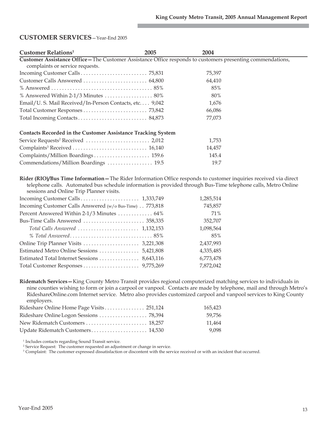### **CUSTOMER SERVICES**—Year-End 2005

| <b>Customer Relations<sup>1</sup></b>                                                                                                          | 2005 | 2004   |  |
|------------------------------------------------------------------------------------------------------------------------------------------------|------|--------|--|
| Customer Assistance Office - The Customer Assistance Office responds to customers presenting commendations,<br>complaints or service requests. |      |        |  |
|                                                                                                                                                |      | 75,397 |  |
|                                                                                                                                                |      | 64,410 |  |
|                                                                                                                                                |      | 85%    |  |
| % Answered Within 2-1/3 Minutes  80%                                                                                                           |      | 80%    |  |
| Email/U. S. Mail Received/In-Person Contacts, etc 9,042                                                                                        |      | 1,676  |  |
|                                                                                                                                                |      | 66,086 |  |
|                                                                                                                                                |      | 77,073 |  |
| <b>Contacts Recorded in the Customer Assistance Tracking System</b>                                                                            |      |        |  |
|                                                                                                                                                |      | 1,753  |  |
|                                                                                                                                                |      | 14,457 |  |
|                                                                                                                                                |      | 145.4  |  |
| Commendations/Million Boardings  19.5                                                                                                          |      | 19.7   |  |

**Rider (RIO)/Bus Time Information—**The Rider Information Office responds to customer inquiries received via direct telephone calls. Automated bus schedule information is provided through Bus-Time telephone calls, Metro Online sessions and Online Trip Planner visits.

| 1,285,514                                                          |
|--------------------------------------------------------------------|
| 745,857<br>Incoming Customer Calls Answered (w/o Bus-Time) 773,818 |
| Percent Answered Within 2-1/3 Minutes  64%<br>71%                  |
| 352,707                                                            |
| 1,098,564                                                          |
| 85%                                                                |
| 2,437,993                                                          |
| 4,335,485                                                          |
| 6,773,478                                                          |
| 7,872,042                                                          |
|                                                                    |

**Ridematch Services—**King County Metro Transit provides regional computerized matching services to individuals in nine counties wishing to form or join a carpool or vanpool. Contacts are made by telephone, mail and through Metro's RideshareOnline.com Internet service. Metro also provides customized carpool and vanpool services to King County employers.

| Rideshare Online Home Page Visits 251,124 | 165.423 |
|-------------------------------------------|---------|
| Rideshare Online Logon Sessions 78,394    | 59.756  |
|                                           | 11.464  |
|                                           | 9.098   |

<sup>1</sup> Includes contacts regarding Sound Transit service.

<sup>2</sup> Service Request: The customer requested an adjustment or change in service.

<sup>3</sup> Complaint: The customer expressed dissatisfaction or discontent with the service received or with an incident that occurred.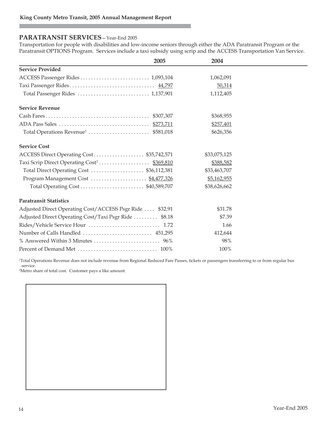#### **PARATRANSIT SERVICES**—Year-End 2005

Transportation for people with disabilities and low-income seniors through either the ADA Paratransit Program or the Paratransit OPTIONS Program. Services include a taxi subsidy using scrip and the ACCESS Transportation Van Service.

| 2005                                                     | 2004         |  |
|----------------------------------------------------------|--------------|--|
| <b>Service Provided</b>                                  |              |  |
|                                                          | 1,062,091    |  |
|                                                          | 50,314       |  |
|                                                          | 1,112,405    |  |
| <b>Service Revenue</b>                                   |              |  |
|                                                          | \$368,955    |  |
|                                                          | \$257,401    |  |
|                                                          | \$626,356    |  |
| <b>Service Cost</b>                                      |              |  |
| ACCESS Direct Operating Cost \$35,742,571                | \$33,075,125 |  |
|                                                          | \$388,582    |  |
| Total Direct Operating Cost  \$36,112,381                | \$33,463,707 |  |
|                                                          | \$5,162,955  |  |
|                                                          | \$38,626,662 |  |
| <b>Paratransit Statistics</b>                            |              |  |
| Adjusted Direct Operating Cost/ACCESS Psgr Ride  \$32.91 | \$31.78      |  |
| Adjusted Direct Operating Cost/Taxi Psgr Ride  \$8.18    | \$7.39       |  |
|                                                          | 1.66         |  |
|                                                          | 412,644      |  |
|                                                          | 98%          |  |
|                                                          | 100%         |  |

1 Total Operations Revenue does not include revenue from Regional Reduced Fare Passes, tickets or passengers transferring to or from regular bus service.

2 Metro share of total cost. Customer pays a like amount.

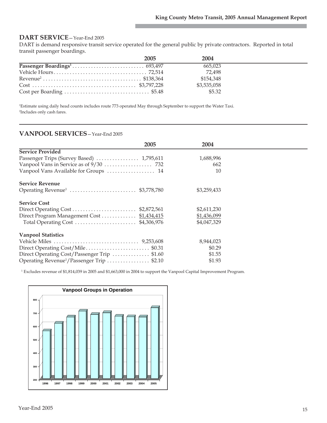#### **DART SERVICE**—Year-End 2005

DART is demand responsive transit service operated for the general public by private contractors. Reported in total transit passenger boardings.

| 2005 | 2004        |  |
|------|-------------|--|
|      | 665.023     |  |
|      | 72.498      |  |
|      | \$154.348   |  |
|      | \$3,535,058 |  |
|      | \$5.32      |  |

1 Estimate using daily head counts includes route 773 operated May through September to support the Water Taxi. 2 Includes only cash fares.

### **VANPOOL SERVICES**—Year-End 2005

| 2005                                                  | 2004        |  |
|-------------------------------------------------------|-------------|--|
| <b>Service Provided</b>                               |             |  |
| Passenger Trips (Survey Based)  1,795,611             | 1,688,996   |  |
|                                                       | 662         |  |
| Vanpool Vans Available for Groups  14                 | 10          |  |
| Service Revenue                                       |             |  |
| Operating Revenue <sup>1</sup> \$3,778,780            | \$3,259,433 |  |
| <b>Service Cost</b>                                   |             |  |
|                                                       | \$2,611,230 |  |
| Direct Program Management Cost  \$1,434,415           | \$1,436,099 |  |
|                                                       | \$4,047,329 |  |
| <b>Vanpool Statistics</b>                             |             |  |
|                                                       | 8,944,023   |  |
| Direct Operating Cost/Mile\$0.31                      | \$0.29      |  |
| Direct Operating Cost/Passenger Trip \$1.60           | \$1.55      |  |
| Operating Revenue <sup>1</sup> /Passenger Trip \$2.10 | \$1.93      |  |

1 Excludes revenue of \$1,814,039 in 2005 and \$1,663,000 in 2004 to support the Vanpool Capital Improvement Program.

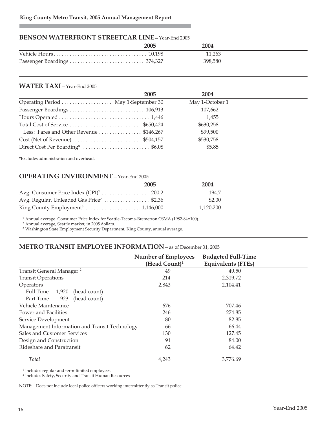## **BENSON WATERFRONT STREETCAR LINE**—Year-End 2005

| 2005 | 2004    |
|------|---------|
|      | 11.263  |
|      | 398,580 |

#### **WATER TAXI**—Year-End 2005

|                                          | 2005 | 2004            |  |
|------------------------------------------|------|-----------------|--|
| Operating Period  May 1-September 30     |      | May 1-October 1 |  |
|                                          |      | 107,662         |  |
|                                          |      | 1,455           |  |
|                                          |      | \$630,258       |  |
| Less: Fares and Other Revenue  \$146,267 |      | \$99,500        |  |
|                                          |      | \$530,758       |  |
|                                          |      | \$5.85          |  |
| *Excludes administration and overhead.   |      |                 |  |

# **OPERATING ENVIRONMENT**—Year-End 2005

|                                                      | 2005 | 2004      |  |
|------------------------------------------------------|------|-----------|--|
|                                                      |      | 194.7     |  |
| Avg. Regular, Unleaded Gas Price <sup>2</sup> \$2.36 |      | \$2.00    |  |
|                                                      |      | 1,120,200 |  |

<sup>1</sup> Annual average Consumer Price Index for Seattle-Tacoma-Bremerton CSMA (1982-84=100).

<sup>2</sup> Annual average, Seattle market, in 2005 dollars.

<sup>3</sup> Washington State Employment Security Department, King County, annual average.

# **METRO TRANSIT EMPLOYEE INFORMATION**—as of December 31, 2005

|                                               | <b>Number of Employees</b> | <b>Budgeted Full-Time</b> |  |
|-----------------------------------------------|----------------------------|---------------------------|--|
|                                               | (Head Count) $1$           | <b>Equivalents (FTEs)</b> |  |
| Transit General Manager <sup>2</sup>          | 49                         | 49.50                     |  |
| <b>Transit Operations</b>                     | 214                        | 2,319.72                  |  |
| Operators                                     | 2,843                      | 2,104.41                  |  |
| Full Time<br>1,920<br>(head count)            |                            |                           |  |
| Part Time<br>923<br>(head count)              |                            |                           |  |
| Vehicle Maintenance                           | 676                        | 707.46                    |  |
| Power and Facilities                          | 246                        | 274.85                    |  |
| Service Development                           | 80                         | 82.85                     |  |
| Management Information and Transit Technology | 66                         | 66.44                     |  |
| Sales and Customer Services                   | 130                        | 127.45                    |  |
| Design and Construction                       | 91                         | 84.00                     |  |
| Rideshare and Paratransit                     | 62                         | 64.42                     |  |
| Total                                         | 4,243                      | 3,776.69                  |  |

<sup>1</sup> Includes regular and term-limited employees

<sup>2</sup> Includes Safety, Security and Transit Human Resources

NOTE: Does not include local police officers working intermittently as Transit police.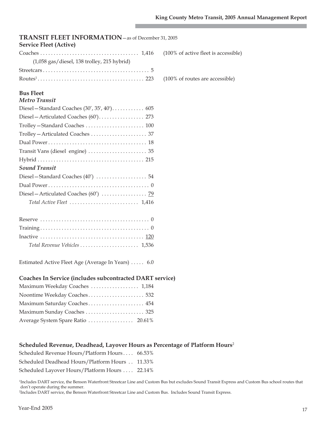| TRANSIT FLEET INFORMATION - as of December 31, 2005                                     |  |
|-----------------------------------------------------------------------------------------|--|
| <b>Service Fleet (Active)</b><br>(100% of active fleet is accessible)                   |  |
| $(1,058$ gas/diesel, 138 trolley, 215 hybrid)                                           |  |
|                                                                                         |  |
|                                                                                         |  |
| (100% of routes are accessible)                                                         |  |
| <b>Bus Fleet</b>                                                                        |  |
| <b>Metro Transit</b>                                                                    |  |
|                                                                                         |  |
|                                                                                         |  |
|                                                                                         |  |
|                                                                                         |  |
|                                                                                         |  |
|                                                                                         |  |
|                                                                                         |  |
| <b>Sound Transit</b>                                                                    |  |
|                                                                                         |  |
|                                                                                         |  |
|                                                                                         |  |
|                                                                                         |  |
|                                                                                         |  |
|                                                                                         |  |
|                                                                                         |  |
|                                                                                         |  |
| Total Revenue Vehicles  1,536                                                           |  |
|                                                                                         |  |
| Estimated Active Fleet Age (Average In Years)  6.0                                      |  |
|                                                                                         |  |
| Coaches In Service (includes subcontracted DART service)                                |  |
| Maximum Weekday Coaches  1,184                                                          |  |
| Noontime Weekday Coaches 532                                                            |  |
| Maximum Saturday Coaches 454                                                            |  |
| Maximum Sunday Coaches  325                                                             |  |
| Average System Spare Ratio  20.61%                                                      |  |
|                                                                                         |  |
|                                                                                         |  |
| Scheduled Revenue, Deadhead, Layover Hours as Percentage of Platform Hours <sup>2</sup> |  |
| Scheduled Revenue Hours/Platform Hours 66.53%                                           |  |

| Scheduled Deadhead Hours/Platform Hours | 11.33% |
|-----------------------------------------|--------|
|                                         |        |

Scheduled Layover Hours/Platform Hours . . . . 22.14%

1 Includes DART service, the Benson Waterfront Streetcar Line and Custom Bus but excludes Sound Transit Express and Custom Bus school routes that don't operate during the summer.

2 Includes DART service, the Benson Waterfront Streetcar Line and Custom Bus. Includes Sound Transit Express.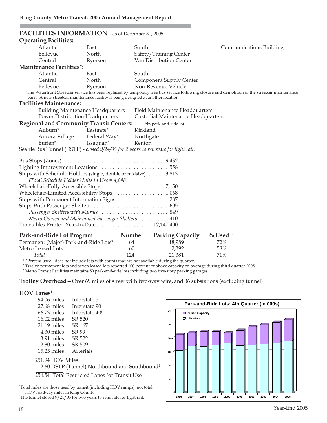| FACILITIES INFORMATION - as of December 31, 2005                                                              |              |                                          |                                                                                                                                                 |
|---------------------------------------------------------------------------------------------------------------|--------------|------------------------------------------|-------------------------------------------------------------------------------------------------------------------------------------------------|
| <b>Operating Facilities:</b>                                                                                  |              |                                          |                                                                                                                                                 |
| Atlantic                                                                                                      | East         | South                                    | Communications Building                                                                                                                         |
| Bellevue                                                                                                      | North        | Safety/Training Center                   |                                                                                                                                                 |
| Central                                                                                                       | Ryerson      | Van Distribution Center                  |                                                                                                                                                 |
| <b>Maintenance Facilities*:</b>                                                                               |              |                                          |                                                                                                                                                 |
| Atlantic                                                                                                      | East         | South                                    |                                                                                                                                                 |
| Central                                                                                                       | North        | <b>Component Supply Center</b>           |                                                                                                                                                 |
| Bellevue                                                                                                      | Ryerson      | Non-Revenue Vehicle                      |                                                                                                                                                 |
|                                                                                                               |              |                                          | *The Waterfront Streetcar service has been replaced by temporary free bus service following closure and demolition of the streetcar maintenance |
| barn. A new streetcar maintenance facility is being designed at another location.                             |              |                                          |                                                                                                                                                 |
| <b>Facilities Maintenance:</b>                                                                                |              |                                          |                                                                                                                                                 |
| <b>Building Maintenance Headquarters</b>                                                                      |              | Field Maintenance Headquarters           |                                                                                                                                                 |
| Power Distribution Headquarters                                                                               |              | Custodial Maintenance Headquarters       |                                                                                                                                                 |
| <b>Regional and Community Transit Centers:</b>                                                                |              | *in park-and-ride lot                    |                                                                                                                                                 |
| Auburn*                                                                                                       | Eastgate*    | Kirkland                                 |                                                                                                                                                 |
| Aurora Village                                                                                                | Federal Way* | Northgate                                |                                                                                                                                                 |
| Burien*                                                                                                       | Issaquah*    | Renton                                   |                                                                                                                                                 |
| Seattle Bus Tunnel (DSTP) - closed 9/24/05 for 2 years to renovate for light rail.                            |              |                                          |                                                                                                                                                 |
|                                                                                                               |              |                                          |                                                                                                                                                 |
|                                                                                                               |              |                                          |                                                                                                                                                 |
|                                                                                                               |              |                                          |                                                                                                                                                 |
| Stops with Schedule Holders (single, double or midsize) 3,813<br>(Total Schedule Holder Units in Use = 4,848) |              |                                          |                                                                                                                                                 |
|                                                                                                               |              |                                          |                                                                                                                                                 |
|                                                                                                               |              |                                          |                                                                                                                                                 |
| Wheelchair-Limited Accessibility Stops  1,068                                                                 |              |                                          |                                                                                                                                                 |
| Stops with Permanent Information Signs  287                                                                   |              |                                          |                                                                                                                                                 |
|                                                                                                               |              |                                          |                                                                                                                                                 |
| Passenger Shelters with Murals  849                                                                           |              |                                          |                                                                                                                                                 |
| Metro Owned and Maintained Passenger Shelters  1,410                                                          |              |                                          |                                                                                                                                                 |
|                                                                                                               |              |                                          |                                                                                                                                                 |
| Park-and-Ride Lot Program                                                                                     |              | <b>Parking Capacity</b><br><b>Number</b> | $\frac{0}{0}$ Used <sup>1,2</sup>                                                                                                               |
| Permanent (Major) Park-and-Ride Lots <sup>3</sup>                                                             |              | 64<br>18,989                             | 72%                                                                                                                                             |
| Metro Leased Lots                                                                                             |              | 60<br>2,392                              | 58%                                                                                                                                             |
| Total                                                                                                         |              | 124<br>21,381                            | 71%                                                                                                                                             |
| <sup>1</sup> "Percent used" does not include lots with counts that are not available during the quarter.      |              |                                          |                                                                                                                                                 |

<sup>2</sup> Twelve permanent lots and seven leased lots reported 100 percent or above capacity on average during third quarter 2005.

<sup>3</sup> Metro Transit Facilities maintains 59 park-and-ride lots including two five-story parking garages.

**Trolley Overhead**—Over 69 miles of street with two-way wire, and 36 substations (excluding tunnel)

#### **HOV Lanes**<sup>1</sup>

| 94.06 miles      | Interstate 5                                              |
|------------------|-----------------------------------------------------------|
| $27.68$ miles    | Interstate 90                                             |
| $66.73$ miles    | Interstate 405                                            |
| $16.02$ miles    | SR 520                                                    |
| $21.19$ miles    | SR 167                                                    |
| 4.30 miles       | SR 99                                                     |
| 3.91 miles       | SR 522                                                    |
| 2.80 miles       | SR 509                                                    |
| $15.25$ miles    | Arterials                                                 |
| 251.94 HOV Miles |                                                           |
|                  | 2.60 DSTP (Tunnel) Northbound and Southbound <sup>2</sup> |
|                  | 254.54 Total Restricted Lanes for Transit Use             |
|                  |                                                           |

1 Total miles are those used by transit (including HOV ramps), not total HOV roadway miles in King County.

2 The tunnel closed 9/24/05 for two years to renovate for light rail.

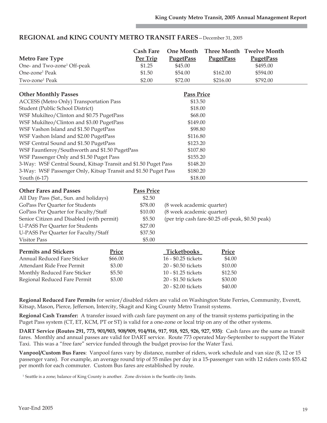| <b>Metro Fare Type</b><br>One- and Two-zone <sup>1</sup> Off-peak<br>One-zone <sup>1</sup> Peak<br>Two-zone <sup>1</sup> Peak                                                                                                                                                                                                                                                                                                                                                                                                                                                         | <b>Cash Fare</b><br>Per Trip<br>\$1.25<br>\$1.50<br>\$2.00                                  | <b>One Month</b><br><b>PugetPass</b><br>\$45.00<br>\$54.00<br>\$72.00                                                                                        | <b>PugetPass</b><br>\$162.00<br>\$216.00                    | Three Month Twelve Month<br><b>PugetPass</b><br>\$495.00<br>\$594.00<br>\$792.00 |
|---------------------------------------------------------------------------------------------------------------------------------------------------------------------------------------------------------------------------------------------------------------------------------------------------------------------------------------------------------------------------------------------------------------------------------------------------------------------------------------------------------------------------------------------------------------------------------------|---------------------------------------------------------------------------------------------|--------------------------------------------------------------------------------------------------------------------------------------------------------------|-------------------------------------------------------------|----------------------------------------------------------------------------------|
| <b>Other Monthly Passes</b><br>ACCESS (Metro Only) Transportation Pass<br>Student (Public School District)<br>WSF Mukilteo/Clinton and \$0.75 PugetPass<br>WSF Mukilteo/Clinton and \$3.00 PugetPass<br>WSF Vashon Island and \$1.50 PugetPass<br>WSF Vashon Island and \$2.00 PugetPass<br>WSF Central Sound and \$1.50 PugetPass<br>WSF Fauntleroy/Southworth and \$1.50 PugetPass<br>WSF Passenger Only and \$1.50 Puget Pass<br>3-Way: WSF Central Sound, Kitsap Transit and \$1.50 Puget Pass<br>3-Way: WSF Passenger Only, Kitsap Transit and \$1.50 Puget Pass<br>Youth (6-17) |                                                                                             | <b>Pass Price</b><br>\$13.50<br>\$18.00<br>\$68.00<br>\$149.00<br>\$98.80<br>\$116.80<br>\$123.20<br>\$107.80<br>\$155.20<br>\$148.20<br>\$180.20<br>\$18.00 |                                                             |                                                                                  |
| <b>Other Fares and Passes</b><br>All Day Pass (Sat., Sun. and holidays)<br>GoPass Per Quarter for Students<br>GoPass Per Quarter for Faculty/Staff<br>Senior Citizen and Disabled (with permit)<br><b>U-PASS Per Quarter for Students</b><br>U-PASS Per Quarter for Faculty/Staff<br><b>Visitor Pass</b>                                                                                                                                                                                                                                                                              | <b>Pass Price</b><br>\$2.50<br>\$78.00<br>\$10.00<br>\$5.50<br>\$27.00<br>\$37.50<br>\$5.00 | (8 week academic quarter)<br>(8 week academic quarter)                                                                                                       | (per trip cash fare-\$0.25 off-peak, \$0.50 peak)           |                                                                                  |
| <b>Permits and Stickers</b><br><b>Annual Reduced Fare Sticker</b><br>Attendant Ride Free Permit<br>Monthly Reduced Fare Sticker<br>Regional Reduced Fare Permit                                                                                                                                                                                                                                                                                                                                                                                                                       | Price<br>\$66.00<br>\$3.00<br>\$5.50<br>\$3.00                                              | Ticketbooks<br>16 - \$0.25 tickets<br>20 - \$0.50 tickets<br>10 - \$1.25 tickets<br>20 - \$1.50 tickets<br>20 - \$2.00 tickets                               | Price<br>\$4.00<br>\$10.00<br>\$12.50<br>\$30.00<br>\$40.00 |                                                                                  |

# **REGIONAL and KING COUNTY METRO TRANSIT FARES**—December 31, 2005

**Regional Reduced Fare Permits** for senior/disabled riders are valid on Washington State Ferries, Community, Everett, Kitsap, Mason, Pierce, Jefferson, Intercity, Skagit and King County Metro Transit systems.

**Regional Cash Transfer:** A transfer issued with cash fare payment on any of the transit systems participating in the Puget Pass system (CT, ET, KCM, PT or ST) is valid for a one-zone or local trip on any of the other systems.

**DART Service (Routes 291, 773, 901/903, 908/909, 914/916, 917, 918, 925, 926, 927, 935)**: Cash fares are the same as transit fares. Monthly and annual passes are valid for DART service. Route 773 operated May-September to support the Water Taxi. This was a "free fare" service funded through the budget proviso for the Water Taxi.

**Vanpool/Custom Bus Fares**: Vanpool fares vary by distance, number of riders, work schedule and van size (8, 12 or 15 passenger vans). For example, an average round trip of 55 miles per day in a 15-passenger van with 12 riders costs \$55.42 per month for each commuter. Custom Bus fares are established by route.

<sup>1</sup> Seattle is a zone; balance of King County is another. Zone division is the Seattle city limits.